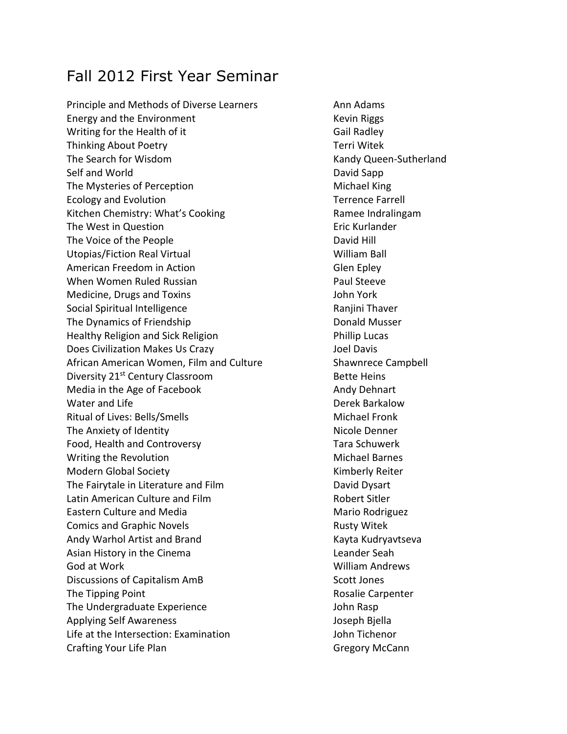# Fall 2012 First Year Seminar

Principle and Methods of Diverse Learners Ann Adams Energy and the Environment Theorem Controllery Revin Riggs Writing for the Health of it Gail Radley Thinking About Poetry **Thinking About Poetry** and the Communist Communist Terri Witek The Search for Wisdom National Communication of the Search for Wisdom Kandy Queen-Sutherland Self and World **David Sapp** The Mysteries of Perception Michael King Ecology and Evolution Terrence Farrell Kitchen Chemistry: What's Cooking Theorem Ramee Indralingam The West in Question **Example 20** is the US of the Eric Kurlander The Voice of the People **David Hill** Utopias/Fiction Real Virtual William Ball American Freedom in Action Glen Epley When Women Ruled Russian **Paul Steeve** Paul Steeve Medicine, Drugs and Toxins John York Social Spiritual Intelligence **Rangers** Ranjini Thaver The Dynamics of Friendship **Donald Musser** Healthy Religion and Sick Religion **Phillip Lucas** Does Civilization Makes Us Crazy Joel Davis African American Women, Film and Culture Shawnrece Campbell Diversity 21<sup>st</sup> Century Classroom Bette Heins Media in the Age of Facebook Andy Dehnart Water and Life **Derek Barkalow Derek Barkalow** Ritual of Lives: Bells/Smells Michael Fronk The Anxiety of Identity Nicole Denner Food, Health and Controversy Tara Schuwerk Writing the Revolution and Michael Barnes Modern Global Society **Kimberly Reiter** Kimberly Reiter The Fairytale in Literature and Film **Example 20** David Dysart Latin American Culture and Film **Example 20 Sept 20 Film Robert Sitler** Eastern Culture and Media Mario Rodriguez Comics and Graphic Novels **Rusty Witek** Rusty Witek Andy Warhol Artist and Brand Kayta Kayta Kudryavtseva Asian History in the Cinema Leander Seah God at Work New York William Andrews Discussions of Capitalism AmB Scott Jones The Tipping Point **Rosalie Carpenter Rosalie Carpenter** The Undergraduate Experience **Interpretents** John Rasp Applying Self Awareness Joseph Bjella Life at the Intersection: Examination John Tichenor Crafting Your Life Plan Gregory McCann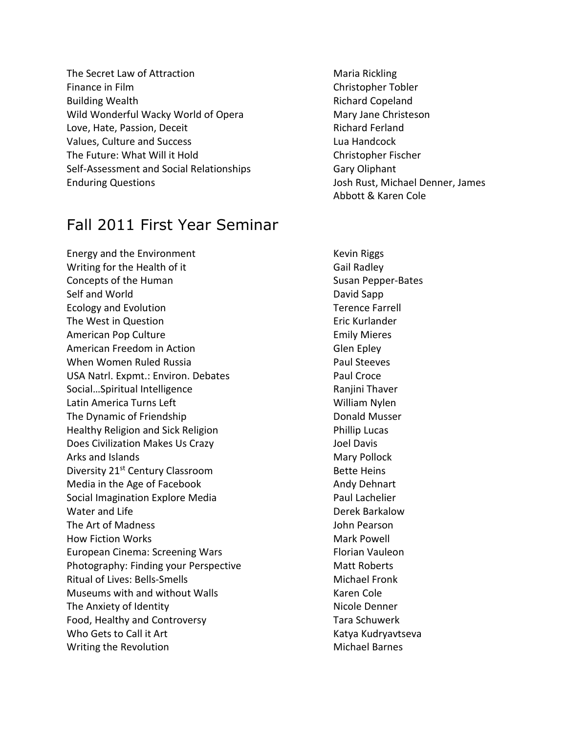The Secret Law of Attraction Maria Rickling Finance in Film Christopher Tobler Building Wealth **Richard Copeland** Richard Copeland Wild Wonderful Wacky World of Opera Mary Jane Christeson Love, Hate, Passion, Deceit Allen and American Richard Ferland Values, Culture and Success Lua Handcock Lua Handcock The Future: What Will it Hold Christopher Fischer Self-Assessment and Social Relationships Fig. 6. Gary Oliphant Enduring Questions Josh Rust, Michael Denner, James

## Fall 2011 First Year Seminar

Energy and the Environment Kevin Riggs Writing for the Health of it Gail Radley Concepts of the Human Susan Pepper-Bates Self and World **David Sapp** Ecology and Evolution Terence Farrell The West in Question **Example 2018** Eric Kurlander American Pop Culture **Emily Microsoft Culture** Emily Mieres American Freedom in Action Glen Epley When Women Ruled Russia **Paul Steeves** Paul Steeves USA Natrl. Expmt.: Environ. Debates Paul Croce Social...Spiritual Intelligence **Rangini Thaver** Ranjini Thaver Latin America Turns Left William Nylen The Dynamic of Friendship **Donald Musser** Donald Musser Healthy Religion and Sick Religion Phillip Lucas Does Civilization Makes Us Crazy **State Control Control** Davis Arks and Islands Mary Pollock and Islands Mary Pollock Diversity 21<sup>st</sup> Century Classroom Bette Heins Media in the Age of Facebook Andy Dehnart Social Imagination Explore Media Paul Lachelier Water and Life **Detection Controllering Controllering Controllering Controllering Detection** Derek Barkalow The Art of Madness John Pearson How Fiction Works **Mark Powell** Mark Powell European Cinema: Screening Wars Florian Vauleon Photography: Finding your Perspective Matt Roberts Ritual of Lives: Bells-Smells Michael Fronk Museums with and without Walls Museums with and without Walls The Anxiety of Identity Nicole Denner Food, Healthy and Controversy Tara Schuwerk Who Gets to Call it Art **Katya Katya Kudryavtseva** Writing the Revolution Michael Barnes

Abbott & Karen Cole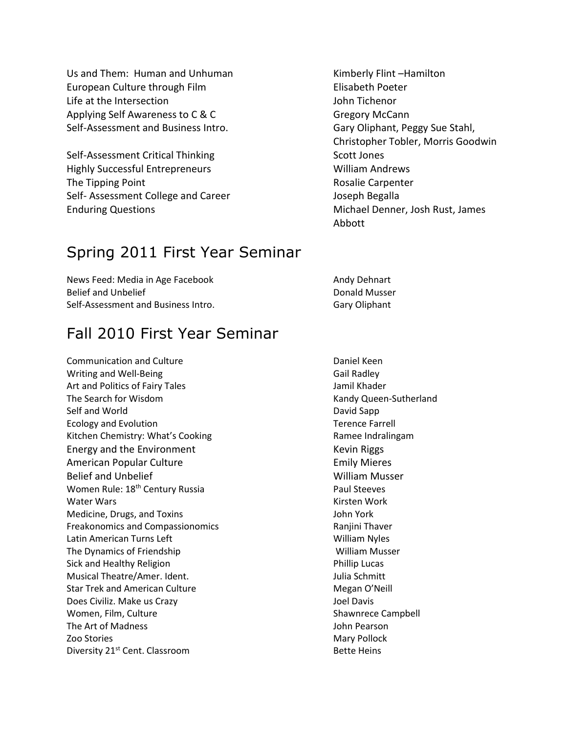Us and Them: Human and Unhuman Kimberly Flint –Hamilton European Culture through Film **Elisabeth Poeter** Life at the Intersection John Tichenor Applying Self Awareness to C & C Gregory McCann Self-Assessment and Business Intro. Gary Oliphant, Peggy Sue Stahl,

Self-Assessment Critical Thinking Scott Jones Highly Successful Entrepreneurs William Andrews The Tipping Point **Rosalie Carpenter** Rosalie Carpenter Self- Assessment College and Career and The Self- Assessment College and Career Enduring Questions Michael Denner, Josh Rust, James

### Spring 2011 First Year Seminar

News Feed: Media in Age Facebook Andy Dehnart Belief and Unbelief **Donald Musser** Donald Musser Self-Assessment and Business Intro. The Care of Gary Oliphant

#### Fall 2010 First Year Seminar

Communication and Culture **Communication and Culture Daniel Keen** Writing and Well-Being Gail Radley Art and Politics of Fairy Tales Jamil Khader The Search for Wisdom Kandy Queen-Sutherland Self and World **David Sapp** Ecology and Evolution Terence Farrell and Evolution Terence Farrell Kitchen Chemistry: What's Cooking Theorem Ramee Indralingam Energy and the Environment The Control of the Kevin Riggs American Popular Culture **Emily Microsoft Culture** Emily Mieres Belief and Unbelief William Musser Women Rule: 18<sup>th</sup> Century Russia **Paul Steeves** Paul Steeves Water Wars **Kirsten Work** Kirsten Work Medicine, Drugs, and Toxins John York Freakonomics and Compassionomics and Compassion extending the Ranjini Thaver Latin American Turns Left William Nyles The Dynamics of Friendship William Musser Sick and Healthy Religion **Phillip Lucas** Phillip Lucas Musical Theatre/Amer. Ident. Julia Schmitt Star Trek and American Culture Megan O'Neill Does Civiliz. Make us Crazy **State and State and State and State Austine** Joel Davis Women, Film, Culture Shawnrece Campbell The Art of Madness John Pearson Zoo Stories **Mary Pollock** Mary Pollock Diversity 21<sup>st</sup> Cent. Classroom Bette Heins

Christopher Tobler, Morris Goodwin Abbott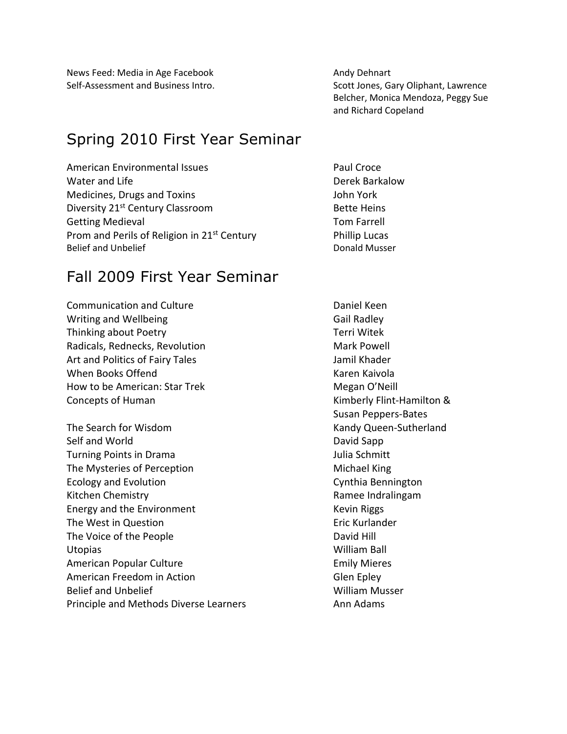News Feed: Media in Age Facebook Andy Dehnart

### Spring 2010 First Year Seminar

American Environmental Issues **Paul Croce** Water and Life **Derek Barkalow** Derek Barkalow Medicines, Drugs and Toxins John York Diversity 21<sup>st</sup> Century Classroom Bette Heins Getting Medieval **Tom Farrell** Prom and Perils of Religion in 21<sup>st</sup> Century Phillip Lucas Belief and Unbelief **Donald Musser** Donald Musser

#### Fall 2009 First Year Seminar

Communication and Culture **Communication** and Culture **Daniel Keen** Writing and Wellbeing Gail Radley Thinking about Poetry Thinking about Poetry Radicals, Rednecks, Revolution Mark Powell Art and Politics of Fairy Tales Jamil Khader Jamil Khader When Books Offend **Karen Kaivola** Karen Kaivola How to be American: Star Trek Megan O'Neill Concepts of Human **Kimberly Flint-Hamilton &** 

The Search for Wisdom Kandy Queen-Sutherland Self and World **David Sapp** Turning Points in Drama Julia Schmitt The Mysteries of Perception Michael King Ecology and Evolution **Cynthia Bennington** Kitchen Chemistry **Ramee Indralingam** Energy and the Environment Kevin Riggs The West in Question **Example 2018** Eric Kurlander The Voice of the People **David Hill** Utopias William Ball American Popular Culture **Emily Microsoft Culture** Emily Mieres American Freedom in Action Glen Epley Belief and Unbelief William Musser Principle and Methods Diverse Learners **Ann Adams** 

Self-Assessment and Business Intro. Scott Jones, Gary Oliphant, Lawrence Belcher, Monica Mendoza, Peggy Sue and Richard Copeland

Susan Peppers-Bates